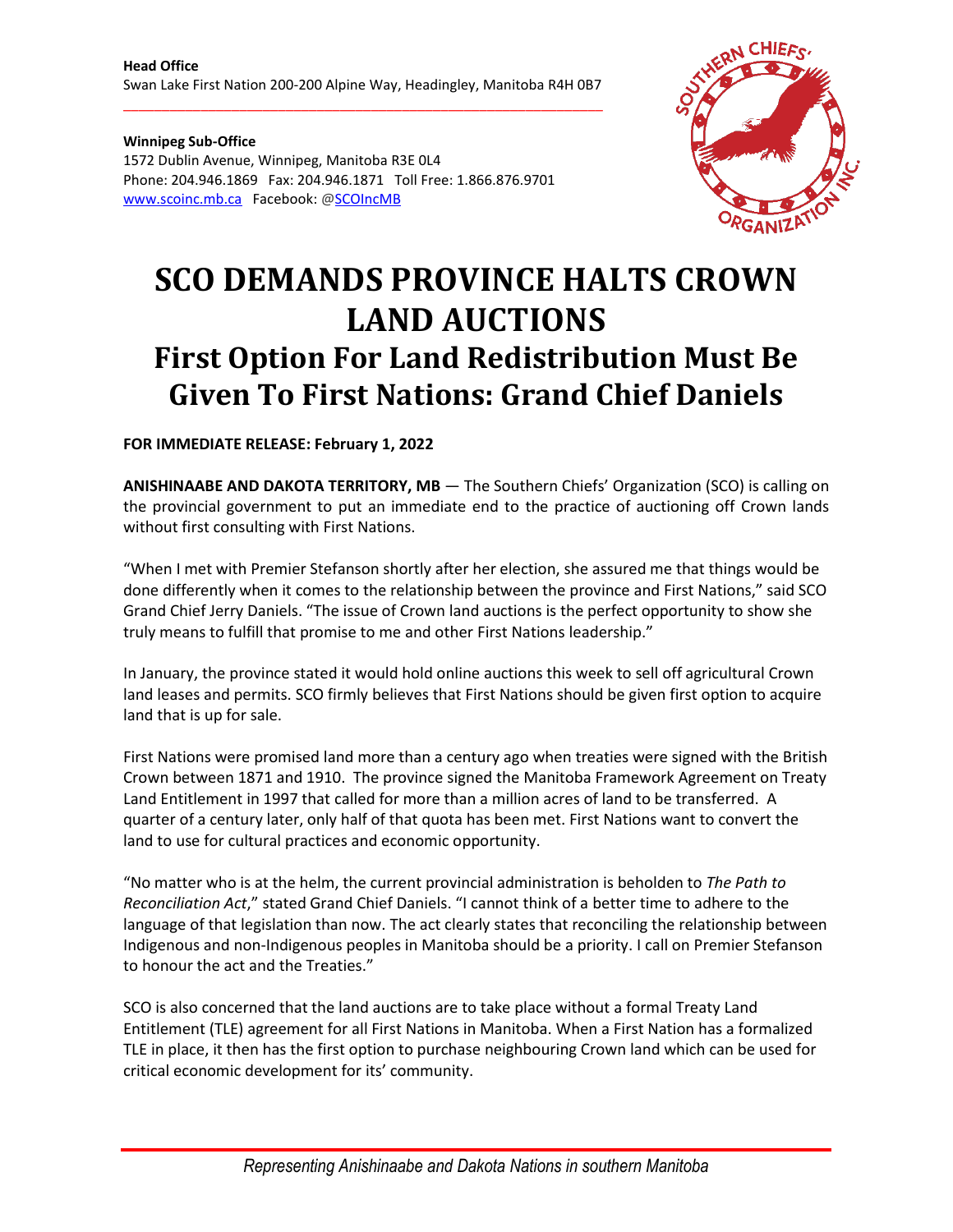\_\_\_\_\_\_\_\_\_\_\_\_\_\_\_\_\_\_\_\_\_\_\_\_\_\_\_\_\_\_\_\_\_\_\_\_\_\_\_\_\_\_\_\_\_\_\_\_\_\_\_\_\_\_\_\_\_\_\_\_\_\_

**Winnipeg Sub-Office** 1572 Dublin Avenue, Winnipeg, Manitoba R3E 0L4 Phone: 204.946.1869 Fax: 204.946.1871 Toll Free: 1.866.876.9701 [www.scoinc.mb.ca](http://www.scoinc.mb.ca/) Facebook: @SCOIncMB



## **SCO DEMANDS PROVINCE HALTS CROWN LAND AUCTIONS First Option For Land Redistribution Must Be Given To First Nations: Grand Chief Daniels**

**FOR IMMEDIATE RELEASE: February 1, 2022**

**ANISHINAABE AND DAKOTA TERRITORY, MB** — The Southern Chiefs' Organization (SCO) is calling on the provincial government to put an immediate end to the practice of auctioning off Crown lands without first consulting with First Nations.

"When I met with Premier Stefanson shortly after her election, she assured me that things would be done differently when it comes to the relationship between the province and First Nations," said SCO Grand Chief Jerry Daniels. "The issue of Crown land auctions is the perfect opportunity to show she truly means to fulfill that promise to me and other First Nations leadership."

In January, the province stated it would hold online auctions this week to sell off agricultural Crown land leases and permits. SCO firmly believes that First Nations should be given first option to acquire land that is up for sale.

First Nations were promised land more than a century ago when treaties were signed with the British Crown between 1871 and 1910. The province signed the Manitoba Framework Agreement on Treaty Land Entitlement in 1997 that called for more than a million acres of land to be transferred. A quarter of a century later, only half of that quota has been met. First Nations want to convert the land to use for cultural practices and economic opportunity.

"No matter who is at the helm, the current provincial administration is beholden to *The Path to Reconciliation Act*," stated Grand Chief Daniels. "I cannot think of a better time to adhere to the language of that legislation than now. The act clearly states that reconciling the relationship between Indigenous and non-Indigenous peoples in Manitoba should be a priority. I call on Premier Stefanson to honour the act and the Treaties."

SCO is also concerned that the land auctions are to take place without a formal Treaty Land Entitlement (TLE) agreement for all First Nations in Manitoba. When a First Nation has a formalized TLE in place, it then has the first option to purchase neighbouring Crown land which can be used for critical economic development for its' community.